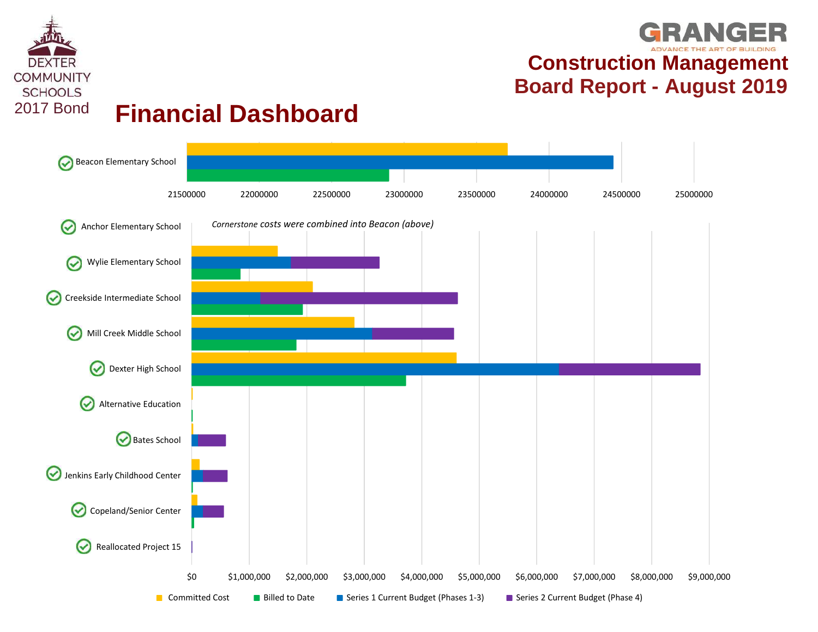



GRANGER **Construction Management** ECOMMUNITY<br> **EXAMUNITY**<br>
Einancial Dashboard<br> **Board Report - August 2019**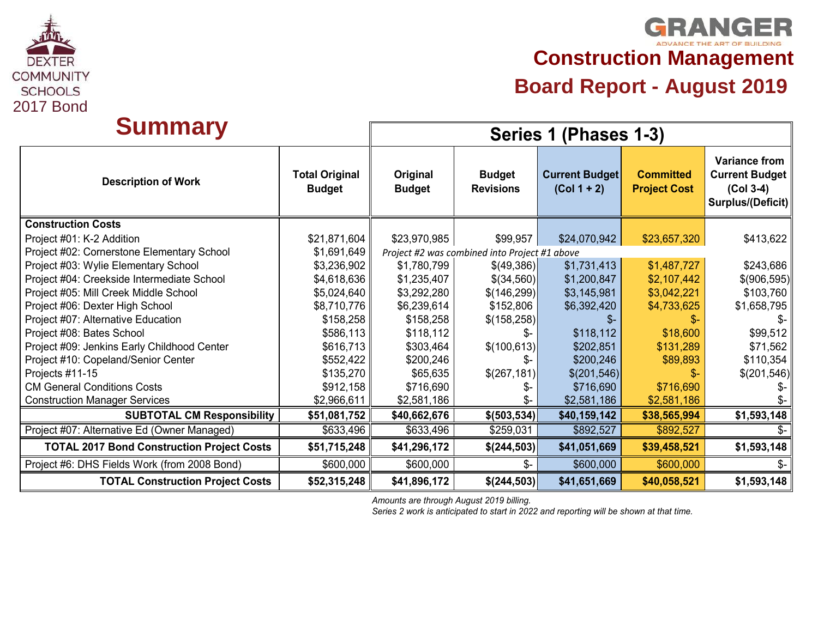

## **GRANGER Construction Management**

# **Board Report - August 2019**<br> **Board Report - August 2019**<br>
2017 Bond

| <b>Summary</b>                                    |                                        |                           |                                               | Series 1 (Phases 1-3)                  |                                         |                                                                                          |  |  |
|---------------------------------------------------|----------------------------------------|---------------------------|-----------------------------------------------|----------------------------------------|-----------------------------------------|------------------------------------------------------------------------------------------|--|--|
| <b>Description of Work</b>                        | <b>Total Original</b><br><b>Budget</b> | Original<br><b>Budget</b> | <b>Budget</b><br><b>Revisions</b>             | <b>Current Budget</b><br>$(Col 1 + 2)$ | <b>Committed</b><br><b>Project Cost</b> | <b>Variance from</b><br><b>Current Budget</b><br>$(Col 3-4)$<br><b>Surplus/(Deficit)</b> |  |  |
| <b>Construction Costs</b>                         |                                        |                           |                                               |                                        |                                         |                                                                                          |  |  |
| Project #01: K-2 Addition                         | \$21,871,604                           | \$23,970,985              | \$99,957                                      | \$24,070,942                           | \$23,657,320                            | \$413,622                                                                                |  |  |
| Project #02: Cornerstone Elementary School        | \$1,691,649                            |                           | Project #2 was combined into Project #1 above |                                        |                                         |                                                                                          |  |  |
| Project #03: Wylie Elementary School              | \$3,236,902                            | \$1,780,799               | \$(49,386)                                    | \$1,731,413                            | \$1,487,727                             | \$243,686                                                                                |  |  |
| Project #04: Creekside Intermediate School        | \$4,618,636                            | \$1,235,407               | \$(34,560)                                    | \$1,200,847                            | \$2,107,442                             | \$(906,595)                                                                              |  |  |
| Project #05: Mill Creek Middle School             | \$5,024,640                            | \$3,292,280               | \$(146, 299)                                  | \$3,145,981                            | \$3,042,221                             | \$103,760                                                                                |  |  |
| Project #06: Dexter High School                   | \$8,710,776                            | \$6,239,614               | \$152,806                                     | \$6,392,420                            | \$4,733,625                             | \$1,658,795                                                                              |  |  |
| Project #07: Alternative Education                | \$158,258                              | \$158,258                 | \$(158, 258)                                  | \$-                                    |                                         | \$-                                                                                      |  |  |
| Project #08: Bates School                         | \$586,113                              | \$118,112                 | Տ-                                            | \$118,112                              | \$18,600                                | \$99,512                                                                                 |  |  |
| Project #09: Jenkins Early Childhood Center       | \$616,713                              | \$303,464                 | \$(100, 613)                                  | \$202,851                              | \$131,289                               | \$71,562                                                                                 |  |  |
| Project #10: Copeland/Senior Center               | \$552,422                              | \$200,246                 | \$-                                           | \$200,246                              | \$89,893                                | \$110,354                                                                                |  |  |
| Projects #11-15                                   | \$135,270                              | \$65,635                  | \$(267,181)                                   | \$(201, 546)                           |                                         | \$(201,546)                                                                              |  |  |
| <b>CM General Conditions Costs</b>                | \$912,158                              | \$716,690                 | Տ-                                            | \$716,690                              | \$716,690                               | Տ-                                                                                       |  |  |
| <b>Construction Manager Services</b>              | \$2,966,611                            | \$2,581,186               |                                               | \$2,581,186                            | \$2,581,186                             | \$-                                                                                      |  |  |
| <b>SUBTOTAL CM Responsibility</b>                 | \$51,081,752                           | \$40,662,676              | \$(503, 534)                                  | \$40,159,142                           | \$38,565,994                            | \$1,593,148                                                                              |  |  |
| Project #07: Alternative Ed (Owner Managed)       | \$633,496                              | \$633,496                 | \$259,031                                     | \$892,527                              | \$892,527                               | \$-                                                                                      |  |  |
| <b>TOTAL 2017 Bond Construction Project Costs</b> | \$51,715,248                           | \$41,296,172              | \$(244,503)                                   | \$41,051,669                           | \$39,458,521                            | \$1,593,148                                                                              |  |  |
| Project #6: DHS Fields Work (from 2008 Bond)      | \$600,000                              | \$600,000                 | \$-                                           | \$600,000                              | \$600,000                               | \$-                                                                                      |  |  |
| <b>TOTAL Construction Project Costs</b>           | \$52,315,248                           | \$41,896,172              | \$(244,503)                                   | \$41,651,669                           | \$40,058,521                            | \$1,593,148                                                                              |  |  |

*Amounts are through August 2019 billing.*

*Series 2 work is anticipated to start in 2022 and reporting will be shown at that time.*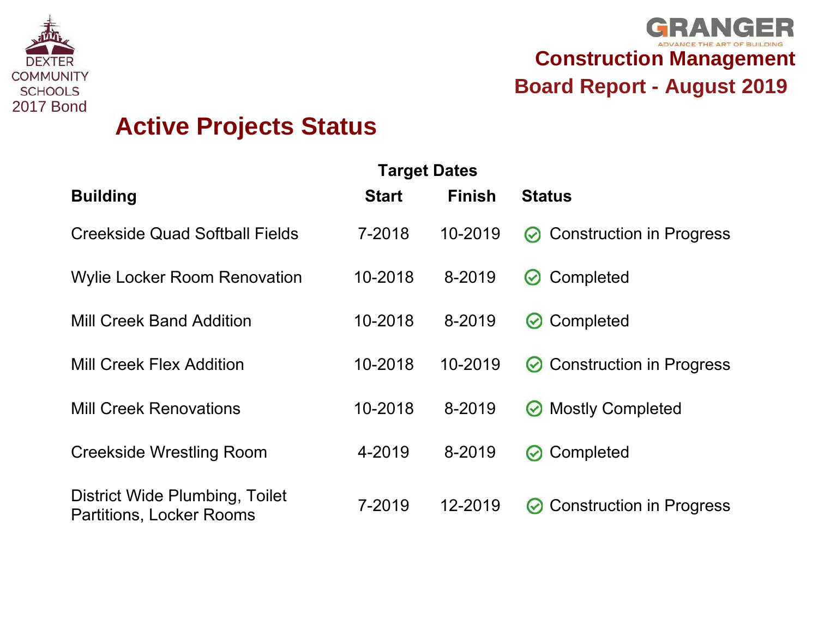



| <b>UURIONITI</b><br><b>SCHOOLS</b><br><b>2017 Bond</b> | <b>Active Projects Status</b>                                     |              |                                      | <b>Board Report - August 2019</b>                |
|--------------------------------------------------------|-------------------------------------------------------------------|--------------|--------------------------------------|--------------------------------------------------|
|                                                        | <b>Building</b>                                                   | <b>Start</b> | <b>Target Dates</b><br><b>Finish</b> | <b>Status</b>                                    |
|                                                        | <b>Creekside Quad Softball Fields</b>                             | 7-2018       | 10-2019                              | <b>Construction in Progress</b><br>$\odot$       |
|                                                        | <b>Wylie Locker Room Renovation</b>                               | 10-2018      | 8-2019                               | Completed<br>$\bm{\omega}$                       |
|                                                        | <b>Mill Creek Band Addition</b>                                   | 10-2018      | 8-2019                               | Completed<br>$\bm{\omega}$                       |
|                                                        | <b>Mill Creek Flex Addition</b>                                   | 10-2018      | 10-2019                              | <b>Construction in Progress</b><br>$\bm{\omega}$ |
|                                                        | <b>Mill Creek Renovations</b>                                     | 10-2018      | 8-2019                               | <b>Mostly Completed</b><br>$\bm{\omega}$         |
|                                                        | <b>Creekside Wrestling Room</b>                                   | 4-2019       | 8-2019                               | Completed<br>$\bm{\omega}$                       |
|                                                        | District Wide Plumbing, Toilet<br><b>Partitions, Locker Rooms</b> | 7-2019       | 12-2019                              | <b>Construction in Progress</b><br>$\bm{\omega}$ |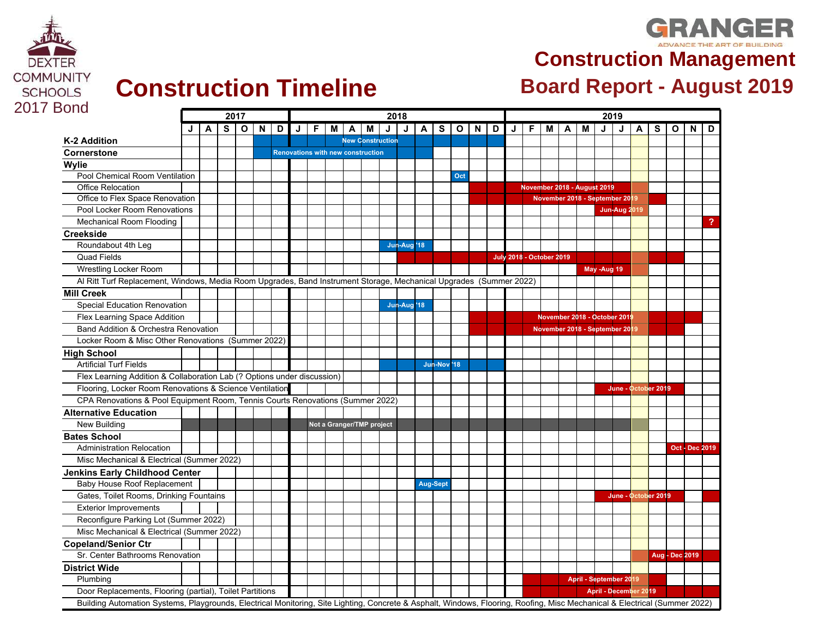

### **GRANGER Construction Management**

| <b>2017 Bond</b>                                                                                                   | 2017<br>2018 |              |                         |  |             |  |                         |    |     |              |                                          |                         |                         |                 |             | 2019 |             |   |   |                                 |   |                                |   |             |                        |  |         |                       |                |   |
|--------------------------------------------------------------------------------------------------------------------|--------------|--------------|-------------------------|--|-------------|--|-------------------------|----|-----|--------------|------------------------------------------|-------------------------|-------------------------|-----------------|-------------|------|-------------|---|---|---------------------------------|---|--------------------------------|---|-------------|------------------------|--|---------|-----------------------|----------------|---|
|                                                                                                                    | J            | $\mathsf{A}$ | $\overline{\mathbf{s}}$ |  | $O$ $N$ $O$ |  | $\overline{\mathsf{J}}$ | F. | l M | $\mathsf{A}$ | M                                        | $\overline{\mathsf{J}}$ | $\overline{\mathsf{J}}$ | $\overline{A}$  |             |      | $S$ $O$ $N$ | D | J | F.                              | M | $\mathsf{A}$                   | M |             | $\frac{1}{2}$          |  | $A$ $S$ |                       | $O$   N        | D |
| K-2 Addition                                                                                                       |              |              |                         |  |             |  |                         |    |     |              | <b>New Construction</b>                  |                         |                         |                 |             |      |             |   |   |                                 |   |                                |   |             |                        |  |         |                       |                |   |
| Cornerstone                                                                                                        |              |              |                         |  |             |  |                         |    |     |              | <b>Renovations with new construction</b> |                         |                         |                 |             |      |             |   |   |                                 |   |                                |   |             |                        |  |         |                       |                |   |
| Wylie                                                                                                              |              |              |                         |  |             |  |                         |    |     |              |                                          |                         |                         |                 |             |      |             |   |   |                                 |   |                                |   |             |                        |  |         |                       |                |   |
| Pool Chemical Room Ventilation                                                                                     |              |              |                         |  |             |  |                         |    |     |              |                                          |                         |                         |                 |             | Oct  |             |   |   |                                 |   |                                |   |             |                        |  |         |                       |                |   |
| <b>Office Relocation</b>                                                                                           |              |              |                         |  |             |  |                         |    |     |              |                                          |                         |                         |                 |             |      |             |   |   |                                 |   | November 2018 - August 2019    |   |             |                        |  |         |                       |                |   |
| Office to Flex Space Renovation                                                                                    |              |              |                         |  |             |  |                         |    |     |              |                                          |                         |                         |                 |             |      |             |   |   |                                 |   | November 2018 - September 2019 |   |             |                        |  |         |                       |                |   |
| Pool Locker Room Renovations                                                                                       |              |              |                         |  |             |  |                         |    |     |              |                                          |                         |                         |                 |             |      |             |   |   |                                 |   |                                |   |             | <b>Jun-Aug 2019</b>    |  |         |                       |                |   |
| <b>Mechanical Room Flooding</b>                                                                                    |              |              |                         |  |             |  |                         |    |     |              |                                          |                         |                         |                 |             |      |             |   |   |                                 |   |                                |   |             |                        |  |         |                       |                |   |
| <b>Creekside</b>                                                                                                   |              |              |                         |  |             |  |                         |    |     |              |                                          |                         |                         |                 |             |      |             |   |   |                                 |   |                                |   |             |                        |  |         |                       |                |   |
| Roundabout 4th Leg                                                                                                 |              |              |                         |  |             |  |                         |    |     |              |                                          |                         | Jun-Aug <sup>'18</sup>  |                 |             |      |             |   |   |                                 |   |                                |   |             |                        |  |         |                       |                |   |
| <b>Quad Fields</b>                                                                                                 |              |              |                         |  |             |  |                         |    |     |              |                                          |                         |                         |                 |             |      |             |   |   | <b>July 2018 - October 2019</b> |   |                                |   |             |                        |  |         |                       |                |   |
| Wrestling Locker Room                                                                                              |              |              |                         |  |             |  |                         |    |     |              |                                          |                         |                         |                 |             |      |             |   |   |                                 |   |                                |   | May -Aug 19 |                        |  |         |                       |                |   |
| Al Ritt Turf Replacement, Windows, Media Room Upgrades, Band Instrument Storage, Mechanical Upgrades (Summer 2022) |              |              |                         |  |             |  |                         |    |     |              |                                          |                         |                         |                 |             |      |             |   |   |                                 |   |                                |   |             |                        |  |         |                       |                |   |
| <b>Mill Creek</b>                                                                                                  |              |              |                         |  |             |  |                         |    |     |              |                                          |                         |                         |                 |             |      |             |   |   |                                 |   |                                |   |             |                        |  |         |                       |                |   |
| <b>Special Education Renovation</b>                                                                                |              |              |                         |  |             |  |                         |    |     |              |                                          |                         | Jun-Aug '18             |                 |             |      |             |   |   |                                 |   |                                |   |             |                        |  |         |                       |                |   |
| Flex Learning Space Addition                                                                                       |              |              |                         |  |             |  |                         |    |     |              |                                          |                         |                         |                 |             |      |             |   |   |                                 |   | November 2018 - October 2019   |   |             |                        |  |         |                       |                |   |
| Band Addition & Orchestra Renovation                                                                               |              |              |                         |  |             |  |                         |    |     |              |                                          |                         |                         |                 |             |      |             |   |   |                                 |   | November 2018 - September 2019 |   |             |                        |  |         |                       |                |   |
| Locker Room & Misc Other Renovations (Summer 2022)                                                                 |              |              |                         |  |             |  |                         |    |     |              |                                          |                         |                         |                 |             |      |             |   |   |                                 |   |                                |   |             |                        |  |         |                       |                |   |
| <b>High School</b>                                                                                                 |              |              |                         |  |             |  |                         |    |     |              |                                          |                         |                         |                 |             |      |             |   |   |                                 |   |                                |   |             |                        |  |         |                       |                |   |
| <b>Artificial Turf Fields</b>                                                                                      |              |              |                         |  |             |  |                         |    |     |              |                                          |                         |                         |                 | Jun-Nov '18 |      |             |   |   |                                 |   |                                |   |             |                        |  |         |                       |                |   |
| Flex Learning Addition & Collaboration Lab (? Options under discussion)                                            |              |              |                         |  |             |  |                         |    |     |              |                                          |                         |                         |                 |             |      |             |   |   |                                 |   |                                |   |             |                        |  |         |                       |                |   |
| Flooring, Locker Room Renovations & Science Ventilation                                                            |              |              |                         |  |             |  |                         |    |     |              |                                          |                         |                         |                 |             |      |             |   |   |                                 |   |                                |   |             | June - October 2019    |  |         |                       |                |   |
| CPA Renovations & Pool Equipment Room, Tennis Courts Renovations (Summer 2022)                                     |              |              |                         |  |             |  |                         |    |     |              |                                          |                         |                         |                 |             |      |             |   |   |                                 |   |                                |   |             |                        |  |         |                       |                |   |
| <b>Alternative Education</b>                                                                                       |              |              |                         |  |             |  |                         |    |     |              |                                          |                         |                         |                 |             |      |             |   |   |                                 |   |                                |   |             |                        |  |         |                       |                |   |
| New Building                                                                                                       |              |              |                         |  |             |  |                         |    |     |              | Not a Granger/TMP project                |                         |                         |                 |             |      |             |   |   |                                 |   |                                |   |             |                        |  |         |                       |                |   |
| <b>Bates School</b>                                                                                                |              |              |                         |  |             |  |                         |    |     |              |                                          |                         |                         |                 |             |      |             |   |   |                                 |   |                                |   |             |                        |  |         |                       |                |   |
| <b>Administration Relocation</b>                                                                                   |              |              |                         |  |             |  |                         |    |     |              |                                          |                         |                         |                 |             |      |             |   |   |                                 |   |                                |   |             |                        |  |         |                       | Oct - Dec 2019 |   |
| Misc Mechanical & Electrical (Summer 2022)                                                                         |              |              |                         |  |             |  |                         |    |     |              |                                          |                         |                         |                 |             |      |             |   |   |                                 |   |                                |   |             |                        |  |         |                       |                |   |
| <b>Jenkins Early Childhood Center</b>                                                                              |              |              |                         |  |             |  |                         |    |     |              |                                          |                         |                         |                 |             |      |             |   |   |                                 |   |                                |   |             |                        |  |         |                       |                |   |
| Baby House Roof Replacement                                                                                        |              |              |                         |  |             |  |                         |    |     |              |                                          |                         |                         | <b>Aug-Sept</b> |             |      |             |   |   |                                 |   |                                |   |             |                        |  |         |                       |                |   |
| Gates, Toilet Rooms, Drinking Fountains                                                                            |              |              |                         |  |             |  |                         |    |     |              |                                          |                         |                         |                 |             |      |             |   |   |                                 |   |                                |   |             | June - October 2019    |  |         |                       |                |   |
| <b>Exterior Improvements</b>                                                                                       |              |              |                         |  |             |  |                         |    |     |              |                                          |                         |                         |                 |             |      |             |   |   |                                 |   |                                |   |             |                        |  |         |                       |                |   |
| Reconfigure Parking Lot (Summer 2022)                                                                              |              |              |                         |  |             |  |                         |    |     |              |                                          |                         |                         |                 |             |      |             |   |   |                                 |   |                                |   |             |                        |  |         |                       |                |   |
| Misc Mechanical & Electrical (Summer 2022)                                                                         |              |              |                         |  |             |  |                         |    |     |              |                                          |                         |                         |                 |             |      |             |   |   |                                 |   |                                |   |             |                        |  |         |                       |                |   |
| <b>Copeland/Senior Ctr</b>                                                                                         |              |              |                         |  |             |  |                         |    |     |              |                                          |                         |                         |                 |             |      |             |   |   |                                 |   |                                |   |             |                        |  |         |                       |                |   |
| Sr. Center Bathrooms Renovation                                                                                    |              |              |                         |  |             |  |                         |    |     |              |                                          |                         |                         |                 |             |      |             |   |   |                                 |   |                                |   |             |                        |  |         | <b>Aug - Dec 2019</b> |                |   |
| <b>District Wide</b>                                                                                               |              |              |                         |  |             |  |                         |    |     |              |                                          |                         |                         |                 |             |      |             |   |   |                                 |   |                                |   |             |                        |  |         |                       |                |   |
| Plumbing                                                                                                           |              |              |                         |  |             |  |                         |    |     |              |                                          |                         |                         |                 |             |      |             |   |   |                                 |   |                                |   |             | April - September 2019 |  |         |                       |                |   |
| Door Replacements, Flooring (partial), Toilet Partitions                                                           |              |              |                         |  |             |  |                         |    |     |              |                                          |                         |                         |                 |             |      |             |   |   |                                 |   |                                |   |             | April - December 2019  |  |         |                       |                |   |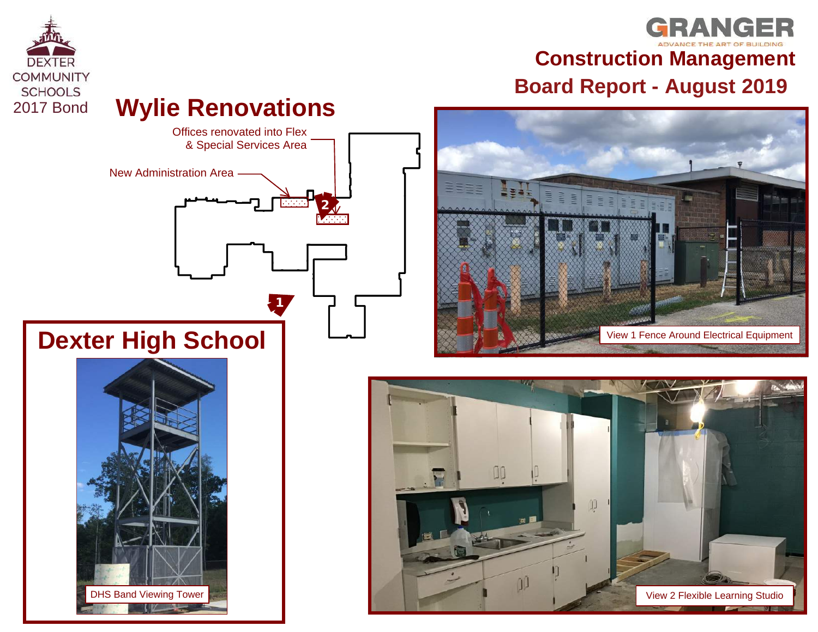

## **GRANGER Construction Management EQMMUNITY**<br> **Board Report - August 2019**<br> **Provide Board Report - August 2019**<br> **Provide Board Report - August 2019**